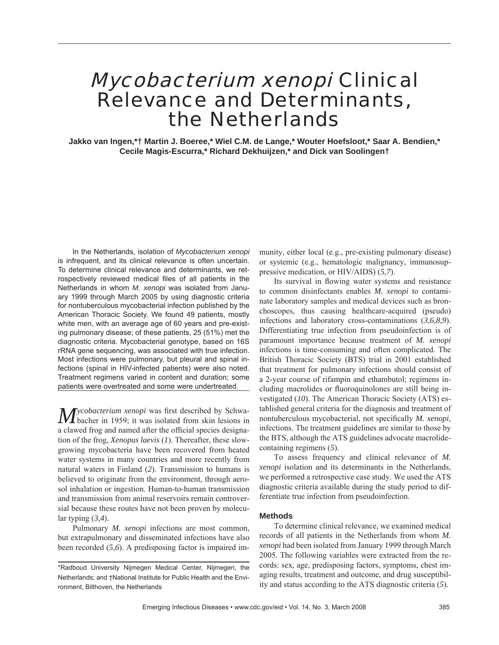# Mycobacterium xenopi Clinical Relevance and Determinants, the Netherlands

**Jakko van Ingen,\*† Martin J. Boeree,\* Wiel C.M. de Lange,\* Wouter Hoefsloot,\* Saar A. Bendien,\* Cecile Magis-Escurra,\* Richard Dekhuijzen,\* and Dick van Soolingen†**

In the Netherlands, isolation of *Mycobacterium xenopi* is infrequent, and its clinical relevance is often uncertain. To determine clinical relevance and determinants, we retrospectively reviewed medical files of all patients in the Netherlands in whom *M. xenopi* was isolated from January 1999 through March 2005 by using diagnostic criteria for nontuberculous mycobacterial infection published by the American Thoracic Society. We found 49 patients, mostly white men, with an average age of 60 years and pre-existing pulmonary disease; of these patients, 25 (51%) met the diagnostic criteria. Mycobacterial genotype, based on 16S rRNA gene sequencing, was associated with true infection. Most infections were pulmonary, but pleural and spinal infections (spinal in HIV-infected patients) were also noted. Treatment regimens varied in content and duration; some patients were overtreated and some were undertreated.

*Mycobacterium xenopi* was first described by Schwa-<br>bacher in 1959; it was isolated from skin lesions in a clawed frog and named after the official species designation of the frog, *Xenopus laevis* (*1*). Thereafter, these slowgrowing mycobacteria have been recovered from heated water systems in many countries and more recently from natural waters in Finland (*2*). Transmission to humans is believed to originate from the environment, through aerosol inhalation or ingestion. Human-to-human transmission and transmission from animal reservoirs remain controversial because these routes have not been proven by molecular typing (*3,4*).

Pulmonary *M. xenopi* infections are most common, but extrapulmonary and disseminated infections have also been recorded (*5,6*). A predisposing factor is impaired immunity, either local (e.g., pre-existing pulmonary disease) or systemic (e.g., hematologic malignancy, immunosuppressive medication, or HIV/AIDS) (*5,7*).

Its survival in flowing water systems and resistance to common disinfectants enables *M. xenopi* to contaminate laboratory samples and medical devices such as bronchoscopes, thus causing healthcare-acquired (pseudo) infections and laboratory cross-contaminations (*3,6,8,9*). Differentiating true infection from pseudoinfection is of paramount importance because treatment of *M. xenopi* infections is time-consuming and often complicated. The British Thoracic Society (BTS) trial in 2001 established that treatment for pulmonary infections should consist of a 2-year course of rifampin and ethambutol; regimens including macrolides or fluoroquinolones are still being investigated (*10*). The American Thoracic Society (ATS) established general criteria for the diagnosis and treatment of nontuberculous mycobacterial, not specifically *M. xenopi*, infections. The treatment guidelines are similar to those by the BTS, although the ATS guidelines advocate macrolidecontaining regimens (*5*).

To assess frequency and clinical relevance of *M. xenopi* isolation and its determinants in the Netherlands, we performed a retrospective case study. We used the ATS diagnostic criteria available during the study period to differentiate true infection from pseudoinfection.

## **Methods**

To determine clinical relevance, we examined medical records of all patients in the Netherlands from whom *M. xenopi* had been isolated from January 1999 through March 2005. The following variables were extracted from the records: sex, age, predisposing factors, symptoms, chest imaging results, treatment and outcome, and drug susceptibility and status according to the ATS diagnostic criteria (*5*).

<sup>\*</sup>Radboud University Nijmegen Medical Center, Nijmegen, the Netherlands; and †National Institute for Public Health and the Environment, Bilthoven, the Netherlands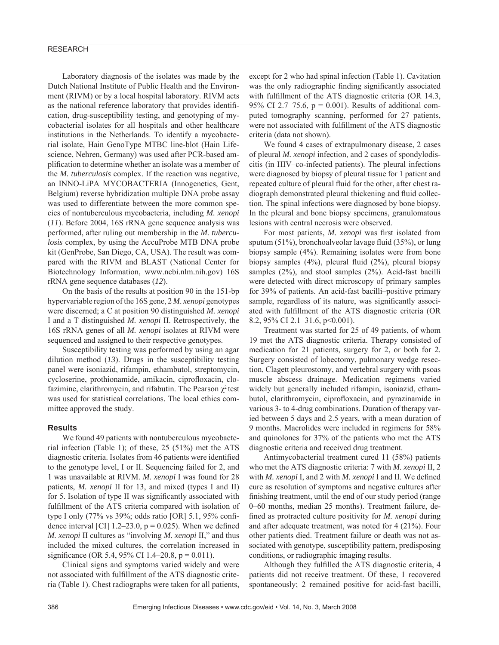## RESEARCH

Laboratory diagnosis of the isolates was made by the Dutch National Institute of Public Health and the Environment (RIVM) or by a local hospital laboratory. RIVM acts as the national reference laboratory that provides identification, drug-susceptibility testing, and genotyping of mycobacterial isolates for all hospitals and other healthcare institutions in the Netherlands. To identify a mycobacterial isolate, Hain GenoType MTBC line-blot (Hain Lifescience, Nehren, Germany) was used after PCR-based amplification to determine whether an isolate was a member of the *M. tuberculosis* complex. If the reaction was negative, an INNO-LiPA MYCOBACTERIA (Innogenetics, Gent, Belgium) reverse hybridization multiple DNA probe assay was used to differentiate between the more common species of nontuberculous mycobacteria, including *M. xenopi* (*11*). Before 2004, 16S rRNA gene sequence analysis was performed, after ruling out membership in the *M. tuberculosis* complex, by using the AccuProbe MTB DNA probe kit (GenProbe, San Diego, CA, USA). The result was compared with the RIVM and BLAST (National Center for Biotechnology Information, www.ncbi.nlm.nih.gov) 16S rRNA gene sequence databases (*12*).

On the basis of the results at position 90 in the 151-bp hypervariable region of the 16S gene, 2 *M. xenopi* genotypes were discerned; a C at position 90 distinguished *M. xenopi* I and a T distinguished *M. xenopi* II. Retrospectively, the 16S rRNA genes of all *M. xenopi* isolates at RIVM were sequenced and assigned to their respective genotypes.

Susceptibility testing was performed by using an agar dilution method (*13*). Drugs in the susceptibility testing panel were isoniazid, rifampin, ethambutol, streptomycin, cycloserine, prothionamide, amikacin, ciprofloxacin, clofazimine, clarithromycin, and rifabutin. The Pearson  $\gamma^2$  test was used for statistical correlations. The local ethics committee approved the study.

### **Results**

We found 49 patients with nontuberculous mycobacterial infection (Table 1); of these, 25 (51%) met the ATS diagnostic criteria. Isolates from 46 patients were identified to the genotype level, I or II. Sequencing failed for 2, and 1 was unavailable at RIVM. *M. xenopi* I was found for 28 patients, *M. xenopi* II for 13, and mixed (types I and II) for 5. Isolation of type II was significantly associated with fulfillment of the ATS criteria compared with isolation of type I only (77% vs 39%; odds ratio [OR] 5.1, 95% confidence interval [CI]  $1.2-23.0$ ,  $p = 0.025$ ). When we defined *M. xenopi* II cultures as "involving *M. xenopi* II," and thus included the mixed cultures, the correlation increased in significance (OR 5.4, 95% CI 1.4–20.8,  $p = 0.011$ ).

Clinical signs and symptoms varied widely and were not associated with fulfillment of the ATS diagnostic criteria (Table 1). Chest radiographs were taken for all patients,

except for 2 who had spinal infection (Table 1). Cavitation was the only radiographic finding significantly associated with fulfillment of the ATS diagnostic criteria (OR 14.3, 95% CI 2.7–75.6,  $p = 0.001$ ). Results of additional computed tomography scanning, performed for 27 patients, were not associated with fulfillment of the ATS diagnostic criteria (data not shown).

We found 4 cases of extrapulmonary disease, 2 cases of pleural *M. xenopi* infection, and 2 cases of spondylodiscitis (in HIV–co-infected patients). The pleural infections were diagnosed by biopsy of pleural tissue for 1 patient and repeated culture of pleural fluid for the other, after chest radiograph demonstrated pleural thickening and fluid collection. The spinal infections were diagnosed by bone biopsy. In the pleural and bone biopsy specimens, granulomatous lesions with central necrosis were observed.

For most patients, *M. xenopi* was first isolated from sputum (51%), bronchoalveolar lavage fluid (35%), or lung biopsy sample (4%). Remaining isolates were from bone biopsy samples  $(4\%)$ , pleural fluid  $(2\%)$ , pleural biopsy samples (2%), and stool samples (2%). Acid-fast bacilli were detected with direct microscopy of primary samples for 39% of patients. An acid-fast bacilli–positive primary sample, regardless of its nature, was significantly associated with fulfillment of the ATS diagnostic criteria (OR 8.2, 95% CI 2.1–31.6, p<0.001).

Treatment was started for 25 of 49 patients, of whom 19 met the ATS diagnostic criteria. Therapy consisted of medication for 21 patients, surgery for 2, or both for 2. Surgery consisted of lobectomy, pulmonary wedge resection, Clagett pleurostomy, and vertebral surgery with psoas muscle abscess drainage. Medication regimens varied widely but generally included rifampin, isoniazid, ethambutol, clarithromycin, ciprofloxacin, and pyrazinamide in various 3- to 4-drug combinations. Duration of therapy varied between 5 days and 2.5 years, with a mean duration of 9 months. Macrolides were included in regimens for 58% and quinolones for 37% of the patients who met the ATS diagnostic criteria and received drug treatment.

Antimycobacterial treatment cured 11 (58%) patients who met the ATS diagnostic criteria: 7 with *M. xenopi* II, 2 with *M. xenopi* I, and 2 with *M. xenopi* I and II. We defined cure as resolution of symptoms and negative cultures after finishing treatment, until the end of our study period (range 0–60 months, median 25 months). Treatment failure, defined as protracted culture positivity for *M. xenopi* during and after adequate treatment, was noted for 4 (21%). Four other patients died. Treatment failure or death was not associated with genotype, susceptibility pattern, predisposing conditions, or radiographic imaging results.

Although they fulfilled the ATS diagnostic criteria, 4 patients did not receive treatment. Of these, 1 recovered spontaneously; 2 remained positive for acid-fast bacilli,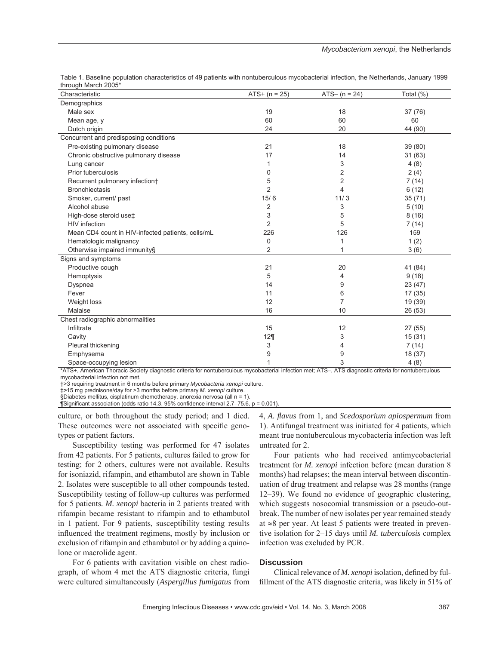| Characteristic                                    | $ATS + (n = 25)$ | $ATS - (n = 24)$ | Total (%) |
|---------------------------------------------------|------------------|------------------|-----------|
| Demographics                                      |                  |                  |           |
| Male sex                                          | 19               | 18               | 37 (76)   |
| Mean age, y                                       | 60               | 60               | 60        |
| Dutch origin                                      | 24               | 20               | 44 (90)   |
| Concurrent and predisposing conditions            |                  |                  |           |
| Pre-existing pulmonary disease                    | 21               | 18               | 39 (80)   |
| Chronic obstructive pulmonary disease             | 17               | 14               | 31(63)    |
| Lung cancer                                       | 1                | 3                | 4(8)      |
| Prior tuberculosis                                | 0                | 2                | 2(4)      |
| Recurrent pulmonary infection†                    | 5                | $\overline{2}$   | 7(14)     |
| <b>Bronchiectasis</b>                             | $\overline{2}$   | 4                | 6(12)     |
| Smoker, current/ past                             | 15/6             | 11/3             | 35(71)    |
| Alcohol abuse                                     | 2                | 3                | 5(10)     |
| High-dose steroid use‡                            | 3                | 5                | 8(16)     |
| <b>HIV</b> infection                              | $\overline{2}$   | 5                | 7(14)     |
| Mean CD4 count in HIV-infected patients, cells/mL | 226              | 126              | 159       |
| Hematologic malignancy                            | 0                | 1                | 1(2)      |
| Otherwise impaired immunity§                      | 2                | 1                | 3(6)      |
| Signs and symptoms                                |                  |                  |           |
| Productive cough                                  | 21               | 20               | 41 (84)   |
| Hemoptysis                                        | 5                | 4                | 9(18)     |
| Dyspnea                                           | 14               | 9                | 23 (47)   |
| Fever                                             | 11               | 6                | 17(35)    |
| Weight loss                                       | 12               | 7                | 19 (39)   |
| Malaise                                           | 16               | 10               | 26 (53)   |
| Chest radiographic abnormalities                  |                  |                  |           |
| Infiltrate                                        | 15               | 12               | 27(55)    |
| Cavity                                            | 12               | 3                | 15(31)    |
| Pleural thickening                                | 3                | 4                | 7(14)     |
| Emphysema                                         | 9                | 9                | 18 (37)   |
| Space-occupying lesion                            | 1                | 3                | 4(8)      |

Table 1. Baseline population characteristics of 49 patients with nontuberculous mycobacterial infection, the Netherlands, January 1999 through March 2005\*

\*ATS+, American Thoracic Society diagnostic criteria for nontuberculous mycobacterial infection met; ATS–, ATS diagnostic criteria for nontuberculous mycobacterial infection not met.

†>3 requiring treatment in 6 months before primary *Mycobacteria xenopi* culture.

‡**>**15 mg prednisone/day for >3 months before primary *M. xenopi* culture.

§Diabetes mellitus, cisplatinum chemotherapy, anorexia nervosa (all n = 1).

[Significant association (odds ratio 14.3, 95% confidence interval 2.7–75.6,  $p = 0.001$ )

culture, or both throughout the study period; and 1 died. These outcomes were not associated with specific genotypes or patient factors.

Susceptibility testing was performed for 47 isolates from 42 patients. For 5 patients, cultures failed to grow for testing; for 2 others, cultures were not available. Results for isoniazid, rifampin, and ethambutol are shown in Table 2. Isolates were susceptible to all other compounds tested. Susceptibility testing of follow-up cultures was performed for 5 patients*. M. xenopi* bacteria in 2 patients treated with rifampin became resistant to rifampin and to ethambutol in 1 patient. For 9 patients, susceptibility testing results influenced the treatment regimens, mostly by inclusion or exclusion of rifampin and ethambutol or by adding a quinolone or macrolide agent.

For 6 patients with cavitation visible on chest radiograph, of whom 4 met the ATS diagnostic criteria, fungi were cultured simultaneously (*Aspergillus fumigatus* from 4, *A. fl avus* from 1, and *Scedosporium apiospermum* from 1). Antifungal treatment was initiated for 4 patients, which meant true nontuberculous mycobacteria infection was left untreated for 2.

Four patients who had received antimycobacterial treatment for *M. xenopi* infection before (mean duration 8 months) had relapses; the mean interval between discontinuation of drug treatment and relapse was 28 months (range 12–39). We found no evidence of geographic clustering, which suggests nosocomial transmission or a pseudo-outbreak. The number of new isolates per year remained steady at ≈8 per year. At least 5 patients were treated in preventive isolation for 2–15 days until *M. tuberculosis* complex infection was excluded by PCR.

## **Discussion**

Clinical relevance of *M. xenopi* isolation, defined by fulfillment of the ATS diagnostic criteria, was likely in 51% of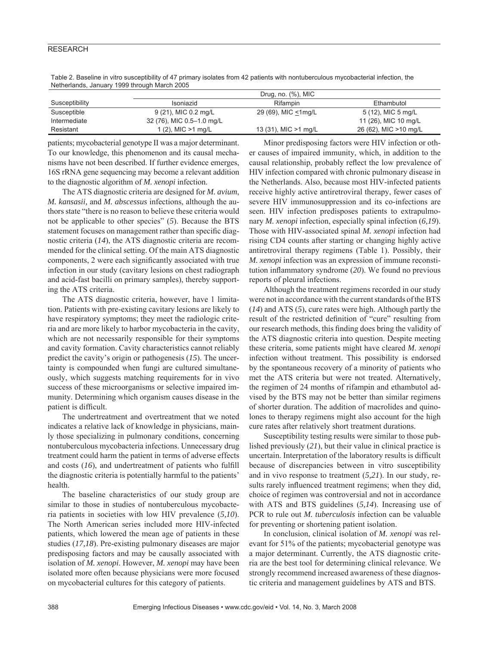## **RESEARCH**

|                | Drug, no. $(\%)$ , MIC    |                       |                        |  |
|----------------|---------------------------|-----------------------|------------------------|--|
| Susceptibility | Isoniazid                 | Rifampin              | Ethambutol             |  |
| Susceptible    | 9 (21), MIC 0.2 mg/L      | 29 (69), MIC <1mg/L   | 5 (12), MIC 5 mg/L     |  |
| Intermediate   | 32 (76), MIC 0.5-1.0 mg/L |                       | 11 (26), MIC 10 mg/L   |  |
| Resistant      | 1 $(2)$ , MIC $>1$ mg/L   | 13 (31), MIC > 1 mg/L | 26 (62), MIC > 10 mg/L |  |

Table 2. Baseline in vitro susceptibility of 47 primary isolates from 42 patients with nontuberculous mycobacterial infection, the Netherlands, January 1999 through March 2005

patients; mycobacterial genotype II was a major determinant. To our knowledge, this phenomenon and its causal mechanisms have not been described. If further evidence emerges, 16S rRNA gene sequencing may become a relevant addition to the diagnostic algorithm of *M. xenopi* infection.

The ATS diagnostic criteria are designed for *M. avium*, *M. kansasii,* and *M. abscessus* infections, although the authors state "there is no reason to believe these criteria would not be applicable to other species" (*5*). Because the BTS statement focuses on management rather than specific diagnostic criteria (*14*), the ATS diagnostic criteria are recommended for the clinical setting. Of the main ATS diagnostic components, 2 were each significantly associated with true infection in our study (cavitary lesions on chest radiograph and acid-fast bacilli on primary samples), thereby supporting the ATS criteria.

The ATS diagnostic criteria, however, have 1 limitation. Patients with pre-existing cavitary lesions are likely to have respiratory symptoms; they meet the radiologic criteria and are more likely to harbor mycobacteria in the cavity, which are not necessarily responsible for their symptoms and cavity formation. Cavity characteristics cannot reliably predict the cavity's origin or pathogenesis (*15*). The uncertainty is compounded when fungi are cultured simultaneously, which suggests matching requirements for in vivo success of these microorganisms or selective impaired immunity. Determining which organism causes disease in the patient is difficult.

The undertreatment and overtreatment that we noted indicates a relative lack of knowledge in physicians, mainly those specializing in pulmonary conditions, concerning nontuberculous mycobacteria infections. Unnecessary drug treatment could harm the patient in terms of adverse effects and costs  $(16)$ , and undertreatment of patients who fulfill the diagnostic criteria is potentially harmful to the patients' health.

The baseline characteristics of our study group are similar to those in studies of nontuberculous mycobacteria patients in societies with low HIV prevalence (*5,10*). The North American series included more HIV-infected patients, which lowered the mean age of patients in these studies (*17,18*). Pre-existing pulmonary diseases are major predisposing factors and may be causally associated with isolation of *M. xenopi*. However, *M. xenopi* may have been isolated more often because physicians were more focused on mycobacterial cultures for this category of patients.

Minor predisposing factors were HIV infection or other causes of impaired immunity, which, in addition to the causal relationship, probably reflect the low prevalence of HIV infection compared with chronic pulmonary disease in the Netherlands. Also, because most HIV-infected patients receive highly active antiretroviral therapy, fewer cases of severe HIV immunosuppression and its co-infections are seen. HIV infection predisposes patients to extrapulmonary *M. xenopi* infection, especially spinal infection (*6,19*). Those with HIV-associated spinal *M. xenopi* infection had rising CD4 counts after starting or changing highly active antiretroviral therapy regimens (Table 1). Possibly, their *M. xenopi* infection was an expression of immune reconstitution inflammatory syndrome (20). We found no previous reports of pleural infections.

Although the treatment regimens recorded in our study were not in accordance with the current standards of the BTS (*14*) and ATS (*5*), cure rates were high. Although partly the result of the restricted definition of "cure" resulting from our research methods, this finding does bring the validity of the ATS diagnostic criteria into question. Despite meeting these criteria, some patients might have cleared *M. xenopi* infection without treatment. This possibility is endorsed by the spontaneous recovery of a minority of patients who met the ATS criteria but were not treated. Alternatively, the regimen of 24 months of rifampin and ethambutol advised by the BTS may not be better than similar regimens of shorter duration. The addition of macrolides and quinolones to therapy regimens might also account for the high cure rates after relatively short treatment durations.

Susceptibility testing results were similar to those published previously (*21*), but their value in clinical practice is uncertain. Interpretation of the laboratory results is difficult because of discrepancies between in vitro susceptibility and in vivo response to treatment (*5,21*). In our study, results rarely influenced treatment regimens; when they did, choice of regimen was controversial and not in accordance with ATS and BTS guidelines (*5,14*). Increasing use of PCR to rule out *M. tuberculosis* infection can be valuable for preventing or shortening patient isolation.

In conclusion, clinical isolation of *M. xenopi* was relevant for 51% of the patients; mycobacterial genotype was a major determinant. Currently, the ATS diagnostic criteria are the best tool for determining clinical relevance. We strongly recommend increased awareness of these diagnostic criteria and management guidelines by ATS and BTS.